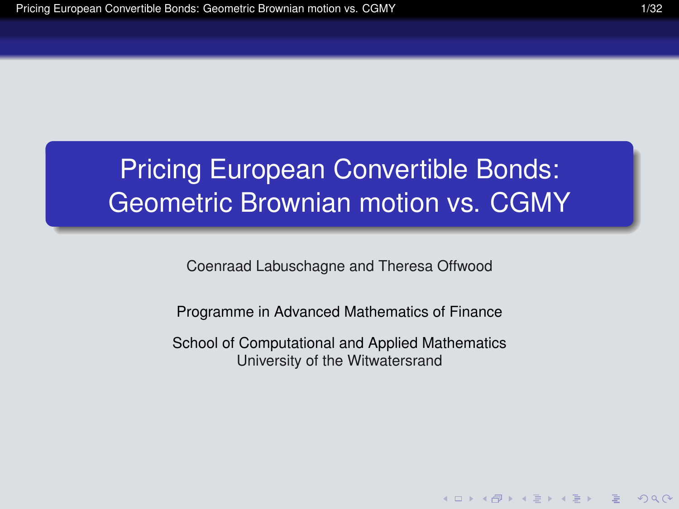# Pricing European Convertible Bonds: Geometric Brownian motion vs. CGMY

Coenraad Labuschagne and Theresa Offwood

Programme in Advanced Mathematics of Finance

<span id="page-0-0"></span>School of Computational and Applied Mathematics University of the Witwatersrand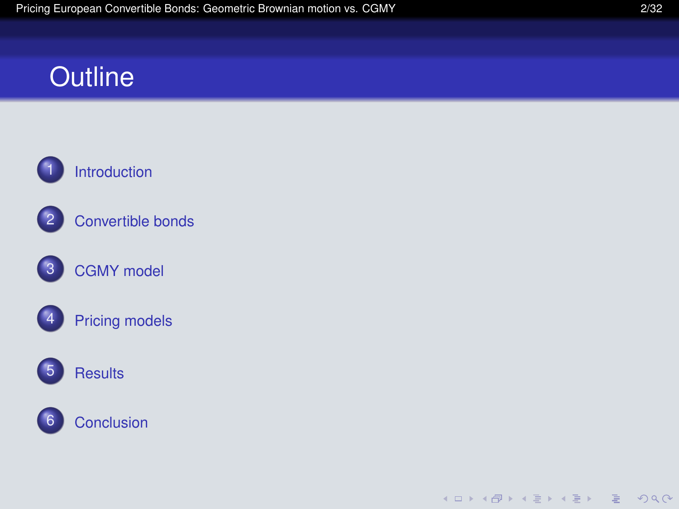### **Outline**



[Convertible bonds](#page-3-0)

[CGMY model](#page-13-0)



[Pricing models](#page-19-0)



### [Results](#page-31-0)



K ロ ▶ K @ ▶ K 할 ▶ K 할 ▶ | 할 | © Q Q @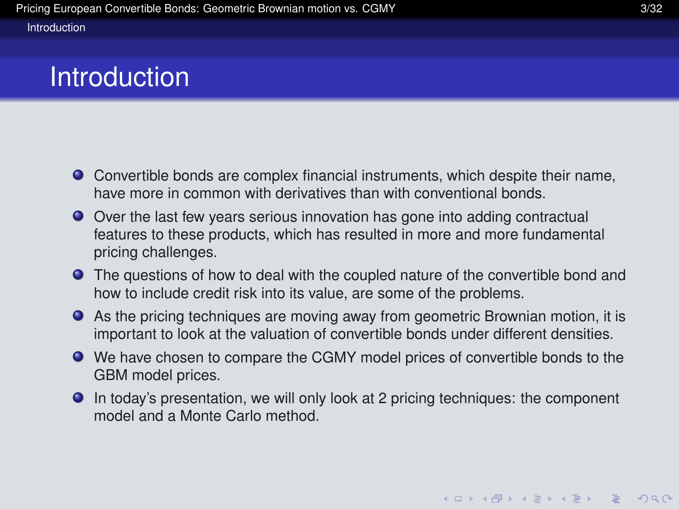### Introduction

- Convertible bonds are complex financial instruments, which despite their name, have more in common with derivatives than with conventional bonds.
- Over the last few years serious innovation has gone into adding contractual features to these products, which has resulted in more and more fundamental pricing challenges.
- **•** The questions of how to deal with the coupled nature of the convertible bond and how to include credit risk into its value, are some of the problems.
- As the pricing techniques are moving away from geometric Brownian motion, it is important to look at the valuation of convertible bonds under different densities.
- We have chosen to compare the CGMY model prices of convertible bonds to the GBM model prices.
- <span id="page-2-0"></span>In today's presentation, we will only look at 2 pricing techniques: the component model and a Monte Carlo method.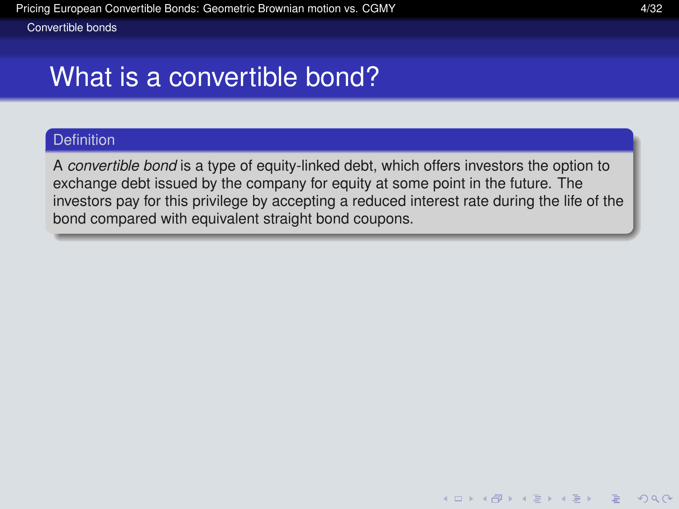### What is a convertible bond?

### **Definition**

<span id="page-3-0"></span>A *convertible bond* is a type of equity-linked debt, which offers investors the option to exchange debt issued by the company for equity at some point in the future. The investors pay for this privilege by accepting a reduced interest rate during the life of the bond compared with equivalent straight bond coupons.

K ロ ▶ K @ ▶ K 할 ▶ K 할 ▶ | 할 | © 9 Q @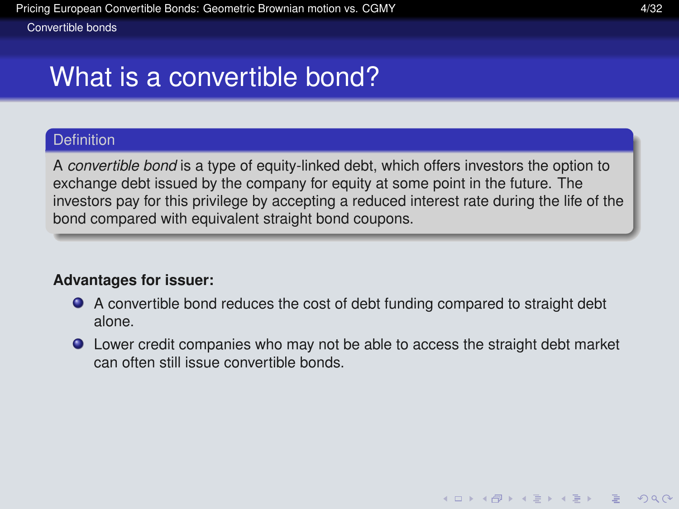# What is a convertible bond?

### **Definition**

A *convertible bond* is a type of equity-linked debt, which offers investors the option to exchange debt issued by the company for equity at some point in the future. The investors pay for this privilege by accepting a reduced interest rate during the life of the bond compared with equivalent straight bond coupons.

### **Advantages for issuer:**

- A convertible bond reduces the cost of debt funding compared to straight debt alone.
- <span id="page-4-0"></span>Lower credit companies who may not be able to access the straight debt market can often still issue convertible bonds.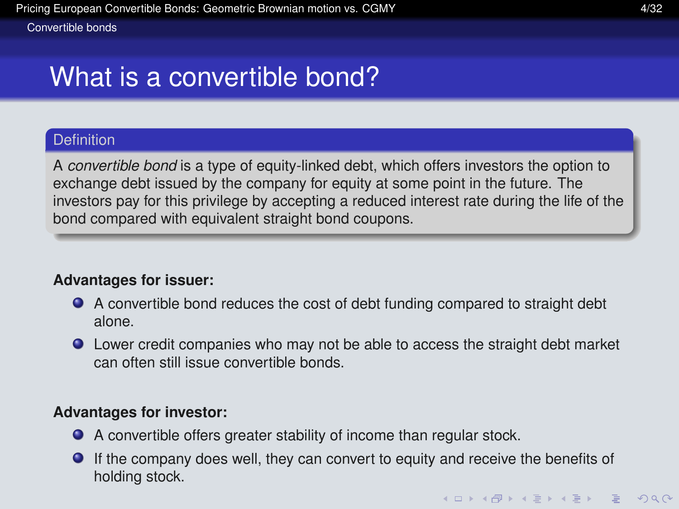# What is a convertible bond?

### **Definition**

A *convertible bond* is a type of equity-linked debt, which offers investors the option to exchange debt issued by the company for equity at some point in the future. The investors pay for this privilege by accepting a reduced interest rate during the life of the bond compared with equivalent straight bond coupons.

### **Advantages for issuer:**

- A convertible bond reduces the cost of debt funding compared to straight debt alone.
- Lower credit companies who may not be able to access the straight debt market can often still issue convertible bonds.

### **Advantages for investor:**

- A convertible offers greater stability of income than regular stock.
- <span id="page-5-0"></span>If the company does well, they can convert to equity and receive the benefits of holding stock.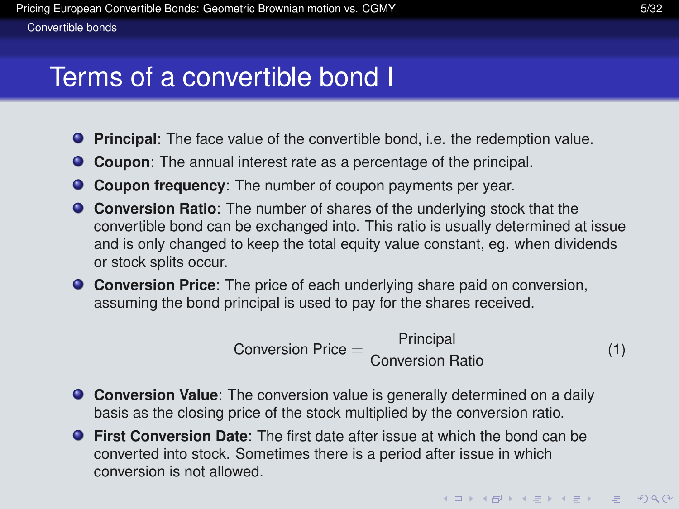### Terms of a convertible bond I

- **Principal**: The face value of the convertible bond, i.e. the redemption value.
- **Coupon:** The annual interest rate as a percentage of the principal.
- **Coupon frequency**: The number of coupon payments per year.
- **Conversion Ratio**: The number of shares of the underlying stock that the convertible bond can be exchanged into. This ratio is usually determined at issue and is only changed to keep the total equity value constant, eg. when dividends or stock splits occur.
- **Conversion Price**: The price of each underlying share paid on conversion, assuming the bond principal is used to pay for the shares received.

$$
Conversion Price = \frac{Principal}{Conversion Ratio} \tag{1}
$$

- **Conversion Value**: The conversion value is generally determined on a daily basis as the closing price of the stock multiplied by the conversion ratio.
- <span id="page-6-0"></span>**First Conversion Date**: The first date after issue at which the bond can be converted into stock. Sometimes there is a period after issue in which conversion is not allowed.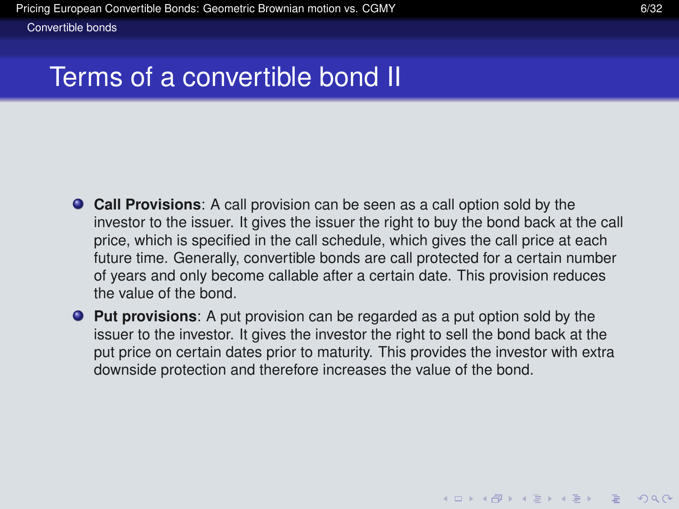[Convertible bonds](#page-7-0)

# Terms of a convertible bond II

- **Call Provisions**: A call provision can be seen as a call option sold by the investor to the issuer. It gives the issuer the right to buy the bond back at the call price, which is specified in the call schedule, which gives the call price at each future time. Generally, convertible bonds are call protected for a certain number of years and only become callable after a certain date. This provision reduces the value of the bond.
- <span id="page-7-0"></span>**Put provisions**: A put provision can be regarded as a put option sold by the issuer to the investor. It gives the investor the right to sell the bond back at the put price on certain dates prior to maturity. This provides the investor with extra downside protection and therefore increases the value of the bond.

**KOD KARD KED KED DRA**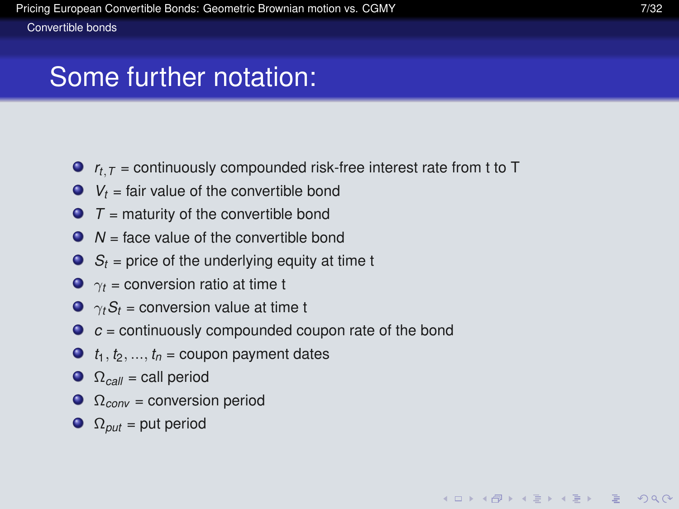# Some further notation:

- $\bullet$   $r_t$ <sub>*T*</sub> = continuously compounded risk-free interest rate from t to T
- $V_t$  = fair value of the convertible bond
- $T =$  maturity of the convertible bond
- $\bullet$   $N =$  face value of the convertible bond
- $S_t$  = price of the underlying equity at time t
- $\bullet$   $\gamma_t$  = conversion ratio at time t
- $\bullet \ \gamma_t S_t$  = conversion value at time t
- $\bullet$   $c$  = continuously compounded coupon rate of the bond
- $\bullet$  *t*<sub>1</sub>, *t*<sub>2</sub>, ..., *t*<sub>n</sub> = coupon payment dates
- $\Omega_{\text{call}} = \text{call period}$
- $\Omega_{conv} =$  conversion period
- <span id="page-8-0"></span> $\Omega_{put}$  = put period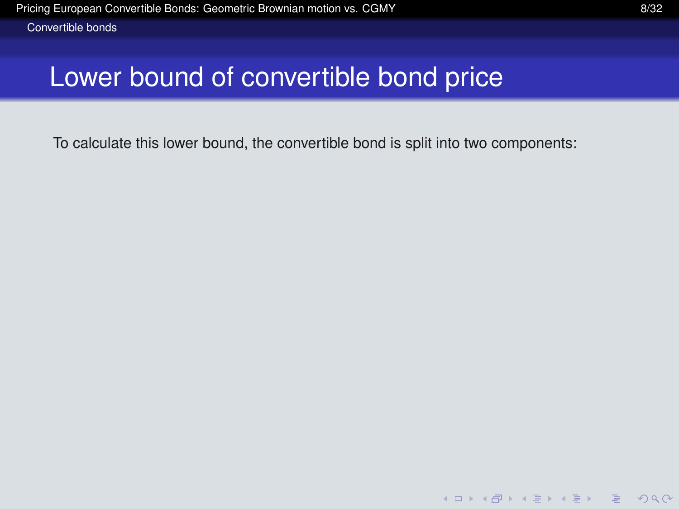# Lower bound of convertible bond price

<span id="page-9-0"></span>To calculate this lower bound, the convertible bond is split into two components:

K ロ ▶ K @ ▶ K 할 ▶ K 할 ▶ | 할 | © Q Q @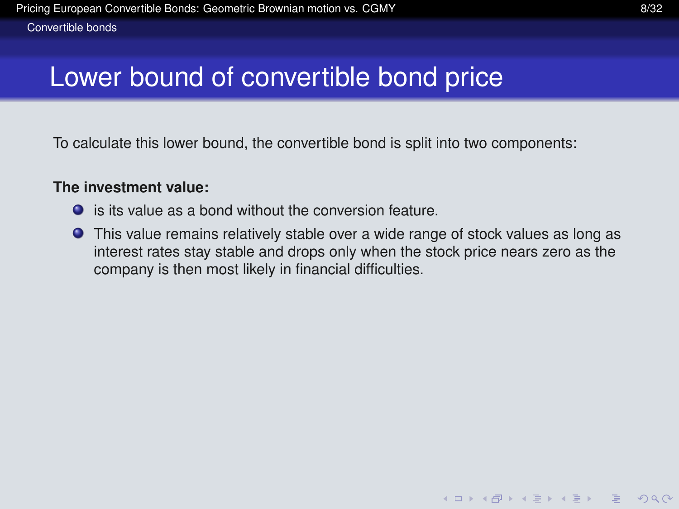# Lower bound of convertible bond price

To calculate this lower bound, the convertible bond is split into two components:

### **The investment value:**

- is its value as a bond without the conversion feature.
- <span id="page-10-0"></span>This value remains relatively stable over a wide range of stock values as long as interest rates stay stable and drops only when the stock price nears zero as the company is then most likely in financial difficulties.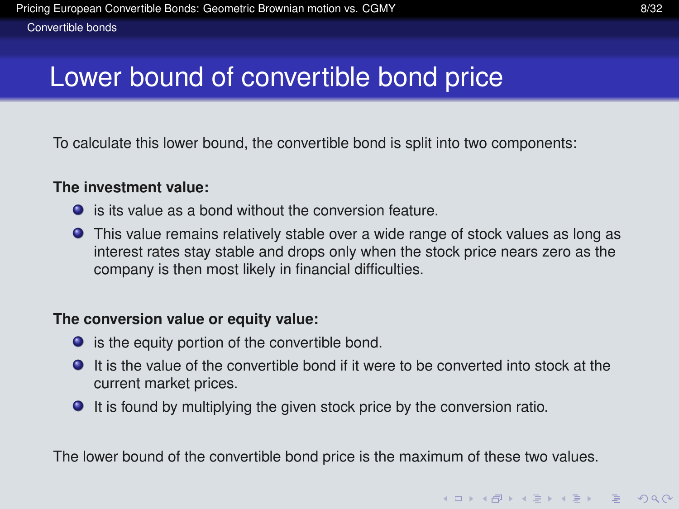# Lower bound of convertible bond price

To calculate this lower bound, the convertible bond is split into two components:

### **The investment value:**

- is its value as a bond without the conversion feature.
- This value remains relatively stable over a wide range of stock values as long as interest rates stay stable and drops only when the stock price nears zero as the company is then most likely in financial difficulties.

### **The conversion value or equity value:**

- $\bullet$  is the equity portion of the convertible bond.
- It is the value of the convertible bond if it were to be converted into stock at the current market prices.
- It is found by multiplying the given stock price by the conversion ratio.

<span id="page-11-0"></span>The lower bound of the convertible bond price is the maximum of these two values.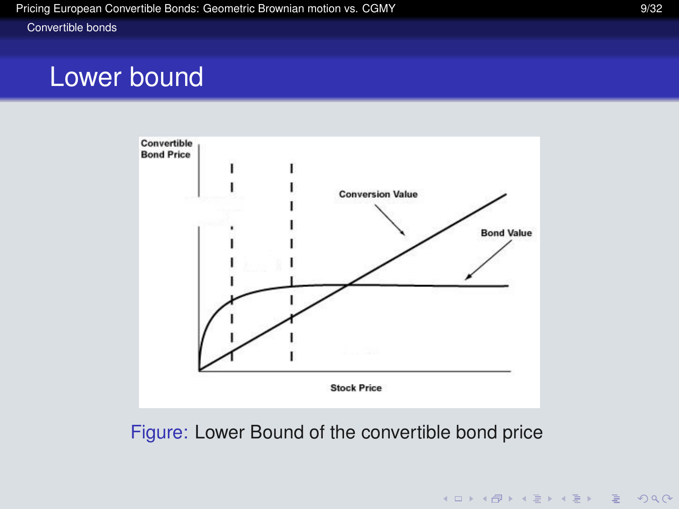#### [Convertible bonds](#page-12-0)

### Lower bound



<span id="page-12-0"></span>Figure: Lower Bound of the convertible bond price

K ロ ▶ K @ ▶ K 할 ▶ K 할 ▶ | 할 | © Q Q @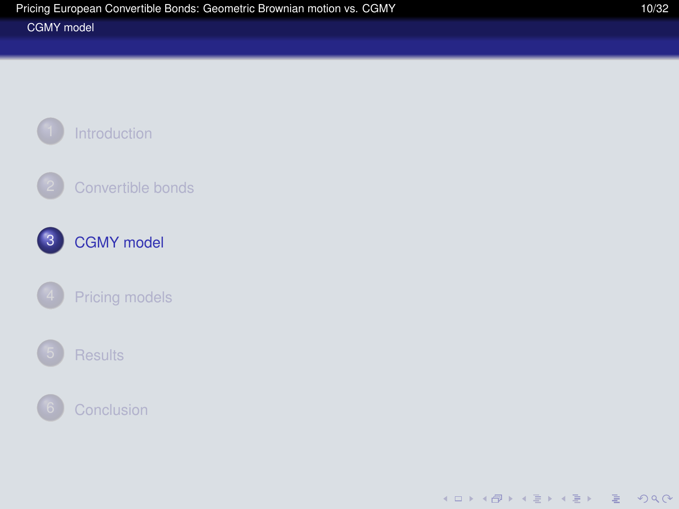#### [CGMY model](#page-13-0)

<span id="page-13-0"></span>

K ロ ▶ K @ ▶ K 할 ▶ K 할 ▶ | 할 | © Q Q @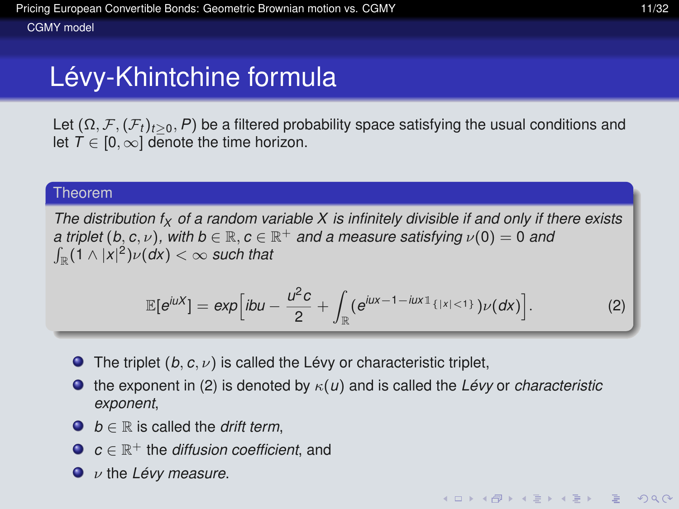Let  $(\Omega, \mathcal{F}, (\mathcal{F}_t)_{t>0}, P)$  be a filtered probability space satisfying the usual conditions and let  $T \in [0, \infty]$  denote the time horizon.

#### Theorem

*The distribution f<sup>X</sup> of a random variable X is infinitely divisible if and only if there exists a triplet* (*b, c, v*), with  $b \in \mathbb{R}$ ,  $c \in \mathbb{R}^+$  *and a measure satisfying*  $\nu(0) = 0$  *and*  $\int_{\mathbb{R}} (1 \wedge |x|^2) \nu(d\mathsf{x}) < \infty$  such that

<span id="page-14-1"></span>
$$
\mathbb{E}[e^{i\mu X}] = exp[ibu - \frac{u^2c}{2} + \int_{\mathbb{R}} (e^{i\mu x - 1 - i\mu x \cdot 1_{\{|x| < 1\}}}) \nu(dx)]. \tag{2}
$$

- **The triplet**  $(b, c, \nu)$  **is called the Lévy or characteristic triplet,**
- the exponent in [\(2\)](#page-14-1) is denoted by  $\kappa(u)$  and is called the *Lévy* or *characteristic*  $\bullet$ *exponent*,
- $\bullet$  *b*  $\in$  R is called the *drift term*.
- *c* ∈ R<sup>+</sup> the *diffusion coefficient*, and
- <span id="page-14-0"></span>ν the *Lévy measure*.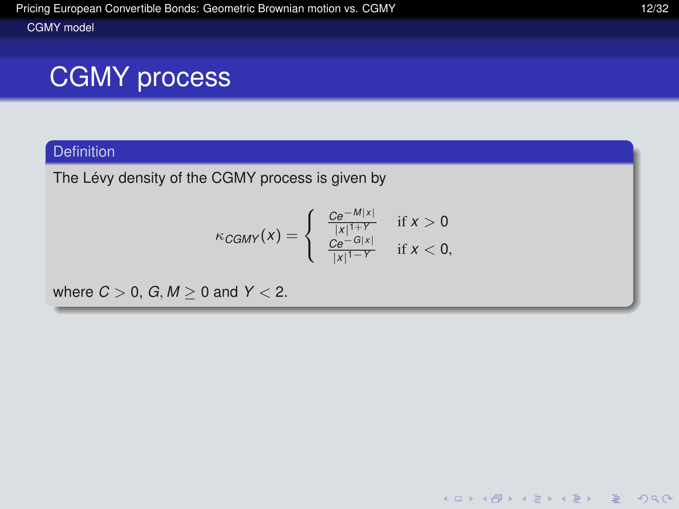#### [CGMY model](#page-15-0)

# CGMY process

### **Definition**

The Lévy density of the CGMY process is given by

$$
\kappa_{CGMY}(x) = \begin{cases} \frac{Ce^{-M|x|}}{|x|^{1+Y}} & \text{if } x > 0\\ \frac{Ce^{-G|x|}}{|x|^{1-Y}} & \text{if } x < 0, \end{cases}
$$

<span id="page-15-0"></span>where  $C > 0$ ,  $G, M > 0$  and  $Y < 2$ .

K ロ ▶ K @ ▶ K 할 ▶ K 할 ▶ | 할 | © Q Q @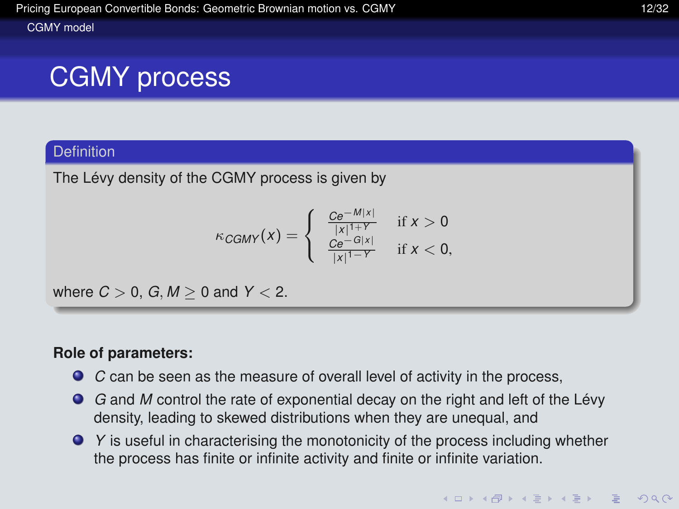#### [CGMY model](#page-16-0)

# CGMY process

### Definition

The Lévy density of the CGMY process is given by

$$
\kappa_{CGMY}(x) = \begin{cases} \frac{C e^{-M|x|}}{|x|^{1+Y}} & \text{if } x > 0\\ \frac{C e^{-G|x|}}{|x|^{1-Y}} & \text{if } x < 0, \end{cases}
$$

where  $C > 0$ ,  $G, M > 0$  and  $Y < 2$ .

### **Role of parameters:**

- *C* can be seen as the measure of overall level of activity in the process,
- *G* and *M* control the rate of exponential decay on the right and left of the Lévy density, leading to skewed distributions when they are unequal, and
- <span id="page-16-0"></span>*P* Y is useful in characterising the monotonicity of the process including whether the process has finite or infinite activity and finite or infinite variation.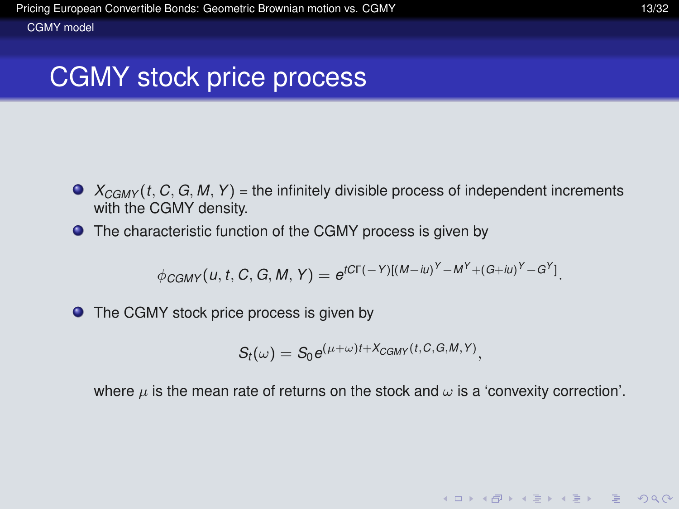### CGMY stock price process

- $\bullet$   $X_{CGMY}(t, C, G, M, Y)$  = the infinitely divisible process of independent increments with the CGMY density.
- The characteristic function of the CGMY process is given by

$$
\phi_{CGMY}(u, t, C, G, M, Y) = e^{tCT(-Y)[(M-iu)^Y - M^Y + (G+iu)^Y - G^Y]}.
$$

● The CGMY stock price process is given by

$$
S_t(\omega)=S_0e^{(\mu+\omega)t+X_{CGMY}(t,C,G,M,Y)},
$$

<span id="page-17-0"></span>where  $\mu$  is the mean rate of returns on the stock and  $\omega$  is a 'convexity correction'.

**KOD KAD KED KED E VOOR**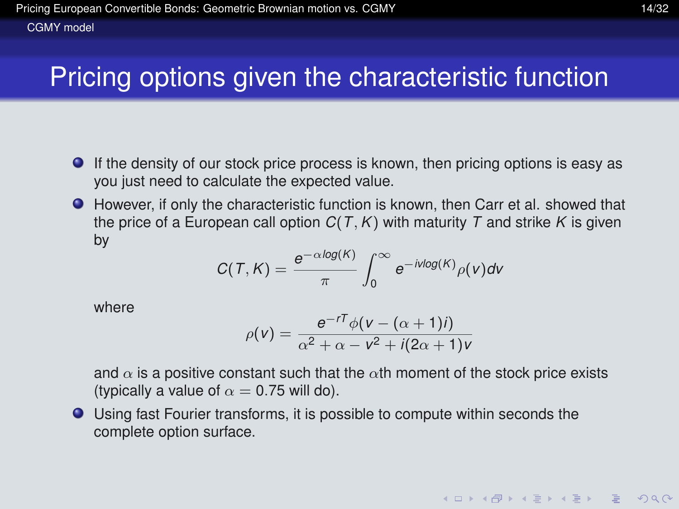# Pricing options given the characteristic function

- If the density of our stock price process is known, then pricing options is easy as you just need to calculate the expected value.
- However, if only the characteristic function is known, then Carr et al. showed that the price of a European call option  $C(T, K)$  with maturity T and strike K is given by

$$
C(T,K)=\frac{e^{-\alpha log(K)}}{\pi}\int_0^\infty e^{-ivlog(K)}\rho(v)dv
$$

where

$$
\rho(v) = \frac{e^{-rT}\phi(v - (\alpha + 1)i)}{\alpha^2 + \alpha - v^2 + i(2\alpha + 1)v}
$$

and  $\alpha$  is a positive constant such that the  $\alpha$ th moment of the stock price exists (typically a value of  $\alpha = 0.75$  will do).

<span id="page-18-0"></span>Using fast Fourier transforms, it is possible to compute within seconds the complete option surface.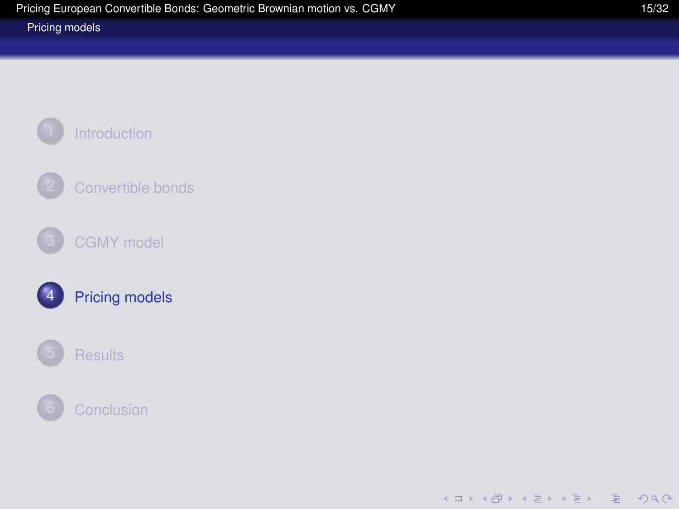#### [Pricing models](#page-19-0)

<span id="page-19-0"></span>

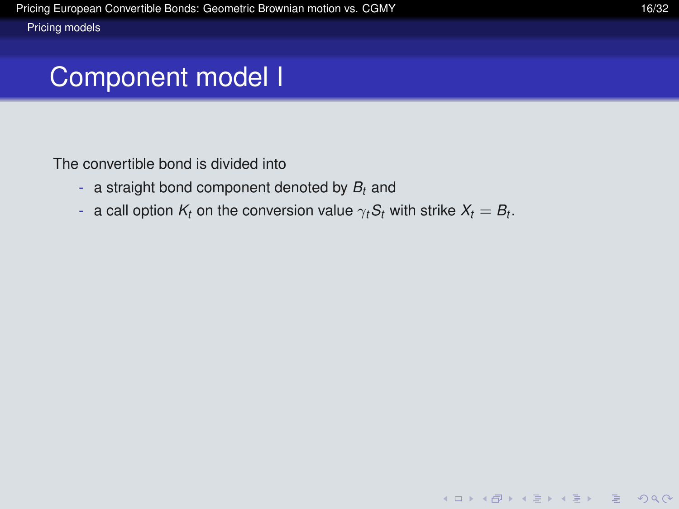The convertible bond is divided into

- a straight bond component denoted by *B<sup>t</sup>* and
- <span id="page-20-0"></span> $-$  a call option  $K_t$  on the conversion value  $\gamma_t S_t$  with strike  $X_t=B_t.$

**KOD KAD KED KED E VOOR**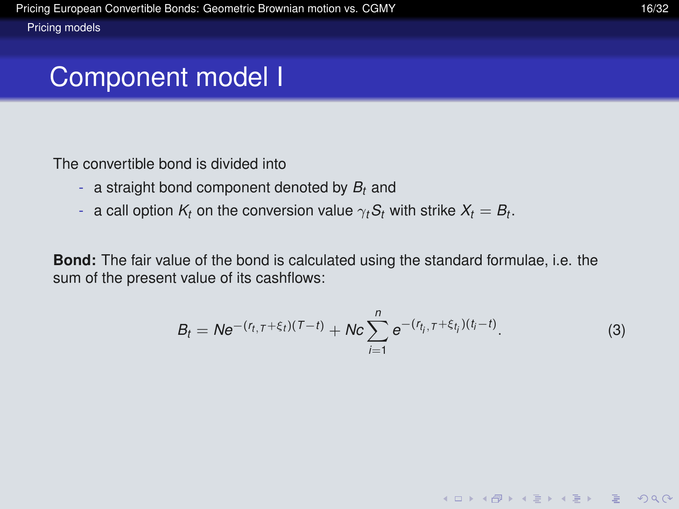The convertible bond is divided into

- a straight bond component denoted by *B<sup>t</sup>* and
- $-$  a call option  $K_t$  on the conversion value  $\gamma_t S_t$  with strike  $X_t=B_t.$

<span id="page-21-0"></span>**Bond:** The fair value of the bond is calculated using the standard formulae, i.e. the sum of the present value of its cashflows:

$$
B_t = N e^{-(r_{t,\tau} + \xi_t)(\tau - t)} + N c \sum_{i=1}^n e^{-(r_{t_i,\tau} + \xi_{t_i})(t_i - t)}.
$$
 (3)

**KOD KAD KED KED E VOOR**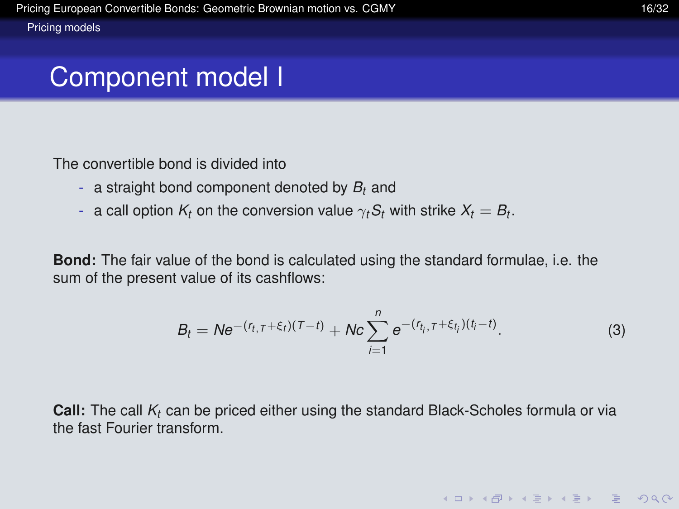The convertible bond is divided into

- a straight bond component denoted by *B<sup>t</sup>* and
- $-$  a call option  $K_t$  on the conversion value  $\gamma_t S_t$  with strike  $X_t=B_t.$

**Bond:** The fair value of the bond is calculated using the standard formulae, i.e. the sum of the present value of its cashflows:

$$
B_t = N e^{-(r_{t,\tau} + \xi_t)(\tau - t)} + N c \sum_{i=1}^n e^{-(r_{t_i,\tau} + \xi_{t_i})(t_i - t)}.
$$
 (3)

**KOD KAD KED KED E VOOR** 

<span id="page-22-0"></span>**Call:** The call *K<sup>t</sup>* can be priced either using the standard Black-Scholes formula or via the fast Fourier transform.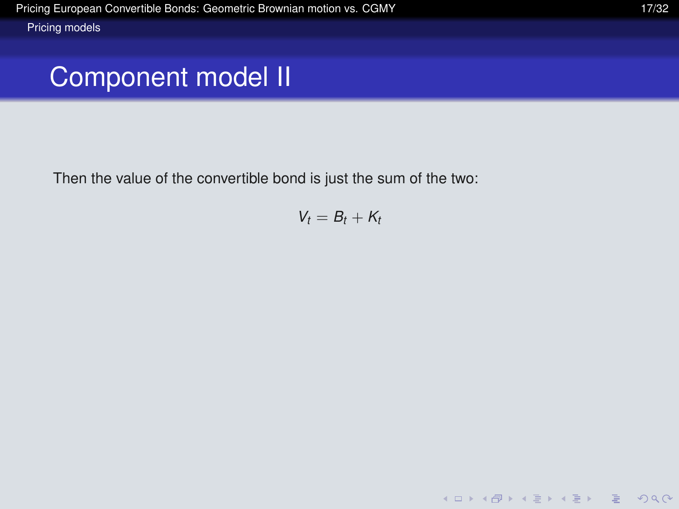<span id="page-23-0"></span>Then the value of the convertible bond is just the sum of the two:

$$
V_t=B_t+K_t
$$

K ロ ▶ K @ ▶ K 할 ▶ K 할 ▶ | 할 | © Q Q @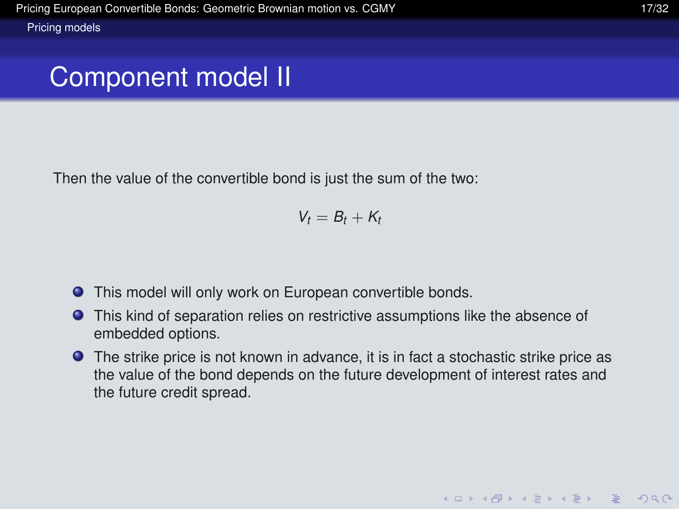Then the value of the convertible bond is just the sum of the two:

$$
V_t=B_t+K_t
$$

- This model will only work on European convertible bonds.  $\bullet$
- This kind of separation relies on restrictive assumptions like the absence of embedded options.
- <span id="page-24-0"></span>The strike price is not known in advance, it is in fact a stochastic strike price as the value of the bond depends on the future development of interest rates and the future credit spread.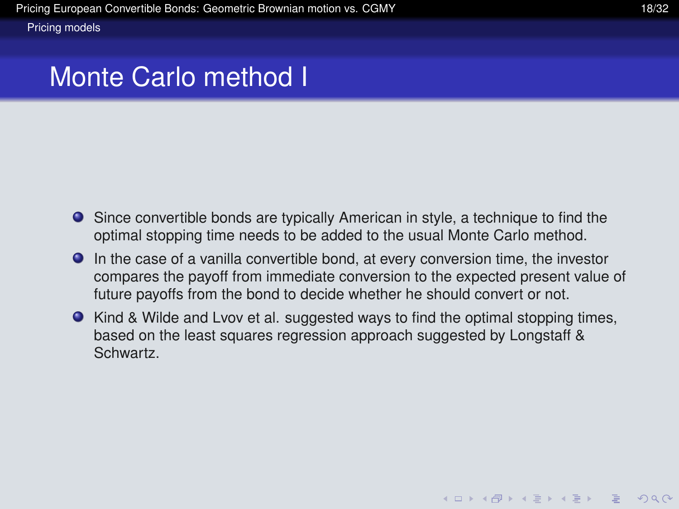### Monte Carlo method I

- Since convertible bonds are typically American in style, a technique to find the optimal stopping time needs to be added to the usual Monte Carlo method.
- In the case of a vanilla convertible bond, at every conversion time, the investor compares the payoff from immediate conversion to the expected present value of future payoffs from the bond to decide whether he should convert or not.
- <span id="page-25-0"></span>• Kind & Wilde and Lvov et al. suggested ways to find the optimal stopping times, based on the least squares regression approach suggested by Longstaff & Schwartz.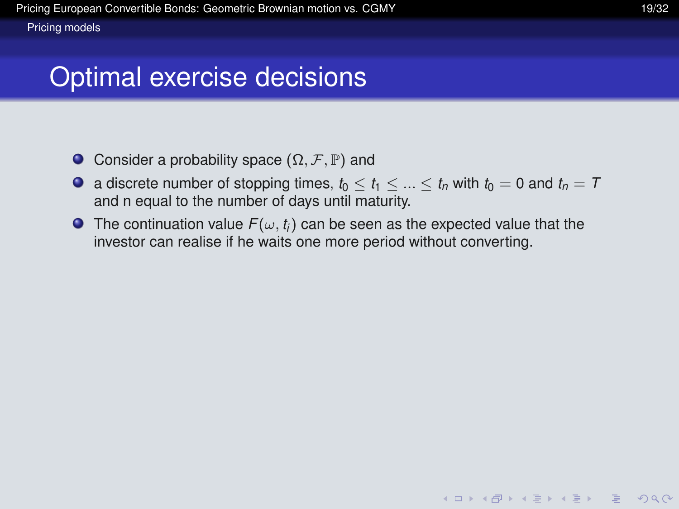### Optimal exercise decisions

- $\bullet$  Consider a probability space  $(Ω, F, ℤ)$  and
- **a** discrete number of stopping times,  $t_0 < t_1 < ... < t_n$  with  $t_0 = 0$  and  $t_n = T$ and n equal to the number of days until maturity.
- <span id="page-26-0"></span>**The continuation value**  $F(\omega, t_i)$  **can be seen as the expected value that the** investor can realise if he waits one more period without converting.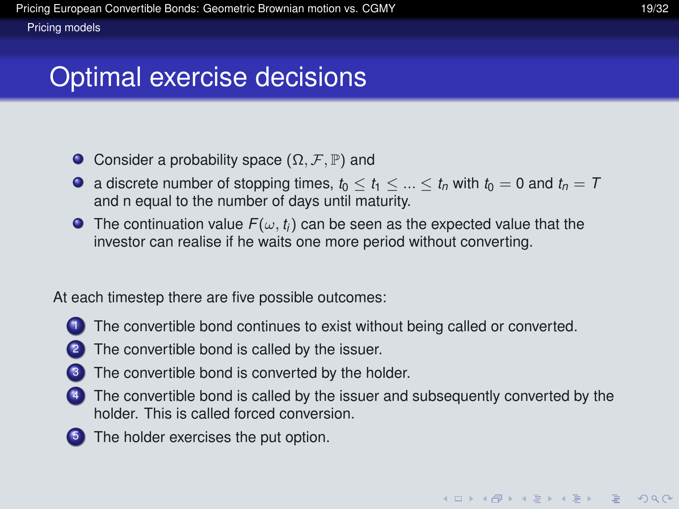# Optimal exercise decisions

- $\bullet$  Consider a probability space  $(Ω, F, ℤ)$  and
- **a** discrete number of stopping times,  $t_0 < t_1 < ... < t_n$  with  $t_0 = 0$  and  $t_n = T$ and n equal to the number of days until maturity.
- **The continuation value**  $F(\omega, t_i)$  **can be seen as the expected value that the** investor can realise if he waits one more period without converting.

At each timestep there are five possible outcomes:

- The convertible bond continues to exist without being called or converted.
- The convertible bond is called by the issuer.
- The convertible bond is converted by the holder.
- The convertible bond is called by the issuer and subsequently converted by the holder. This is called forced conversion.
- <span id="page-27-0"></span>**5** The holder exercises the put option.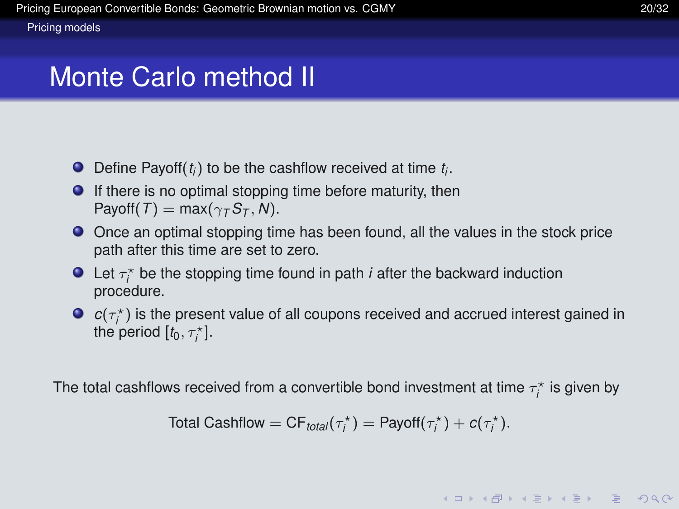### Monte Carlo method II

- Define Payoff(*t<sup>i</sup>* ) to be the cashflow received at time *t<sup>i</sup>* .
- $\bullet$  If there is no optimal stopping time before maturity, then  $Payoff(T) = max(\gamma_T S_T, N).$
- Once an optimal stopping time has been found, all the values in the stock price path after this time are set to zero.
- Let  $\tau_i^*$  be the stopping time found in path *i* after the backward induction *i* procedure.
- $c(\tau_i^{\star})$  is the present value of all coupons received and accrued interest gained in the period  $[t_0, \tau_i^{\star}]$ .

<span id="page-28-0"></span>The total cashflows received from a convertible bond investment at time  $\tau_i^\star$  is given by

Total Cashflow = 
$$
CF_{total}(\tau_i^*)
$$
 = Payoff( $\tau_i^*$ ) +  $c(\tau_i^*)$ .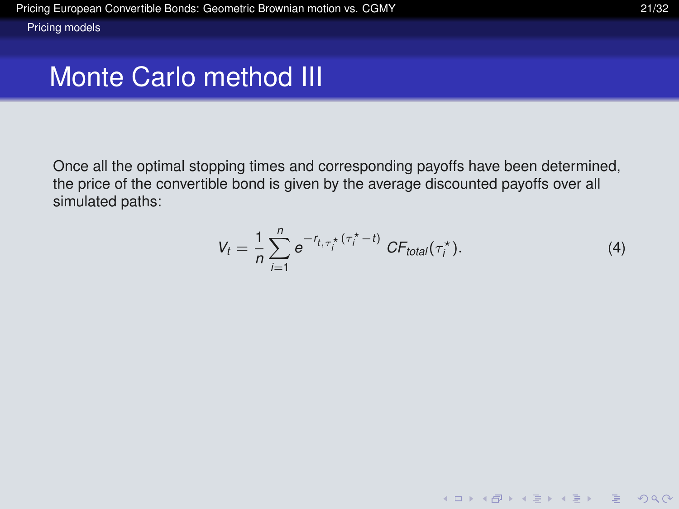<span id="page-29-0"></span>Once all the optimal stopping times and corresponding payoffs have been determined, the price of the convertible bond is given by the average discounted payoffs over all simulated paths:

$$
V_t = \frac{1}{n} \sum_{i=1}^n e^{-r_{t,\tau_i^*}(\tau_i^* - t)} CF_{total}(\tau_i^*).
$$
 (4)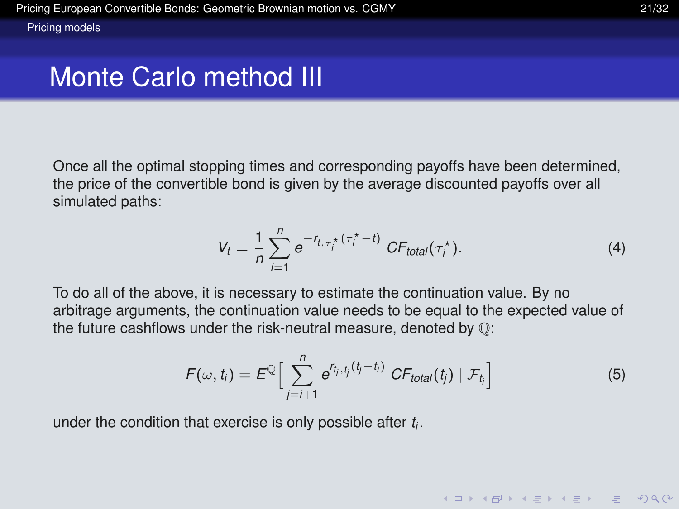Once all the optimal stopping times and corresponding payoffs have been determined, the price of the convertible bond is given by the average discounted payoffs over all simulated paths:

$$
V_t = \frac{1}{n} \sum_{i=1}^n e^{-r_{t,\tau_i^*}(\tau_i^* - t)} CF_{total}(\tau_i^*).
$$
 (4)

To do all of the above, it is necessary to estimate the continuation value. By no arbitrage arguments, the continuation value needs to be equal to the expected value of the future cashflows under the risk-neutral measure, denoted by Q:

$$
F(\omega, t_i) = E^{\mathbb{Q}} \Big[ \sum_{j=i+1}^{n} e^{r_{t_j}, t_j(t_j - t_i)} \, CF_{total}(t_j) \mid \mathcal{F}_{t_i} \Big] \tag{5}
$$

**KOD KARD KED KED YOUR** 

<span id="page-30-0"></span>under the condition that exercise is only possible after *t<sup>i</sup>* .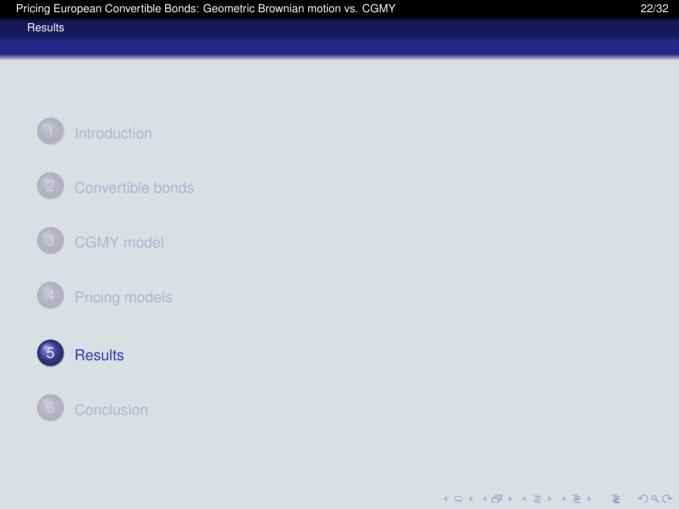<span id="page-31-0"></span>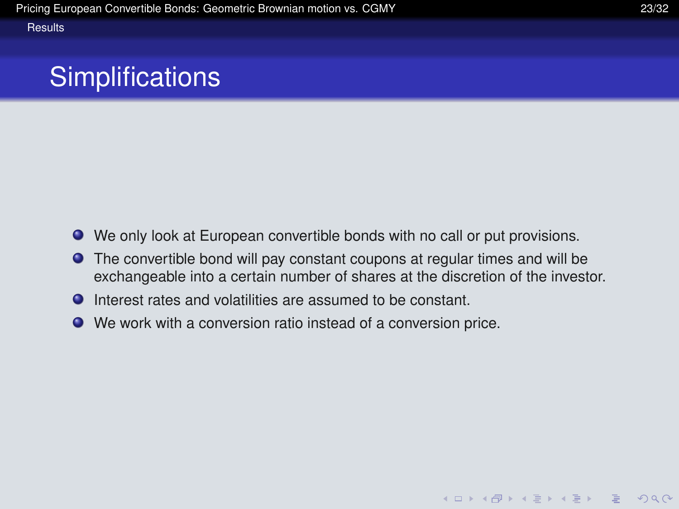# **Simplifications**

- We only look at European convertible bonds with no call or put provisions.
- The convertible bond will pay constant coupons at regular times and will be exchangeable into a certain number of shares at the discretion of the investor.
- Interest rates and volatilities are assumed to be constant.
- <span id="page-32-0"></span>We work with a conversion ratio instead of a conversion price.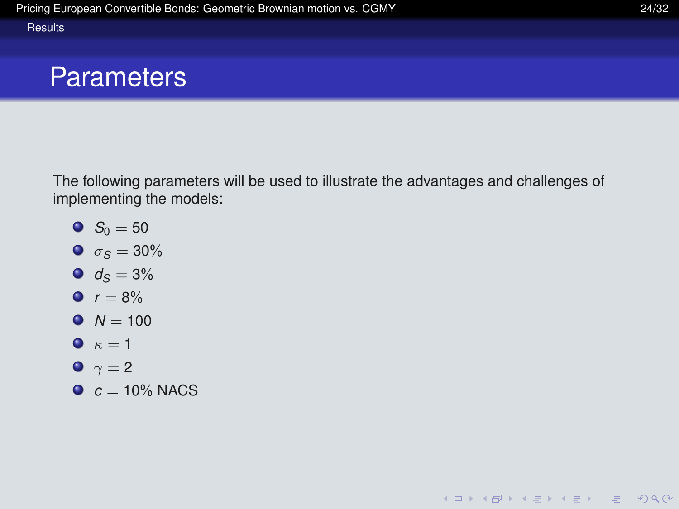### **Parameters**

The following parameters will be used to illustrate the advantages and challenges of implementing the models:

- $S_0 = 50$
- $\bullet$   $\sigma$ <sub>S</sub> = 30%
- $d_S = 3\%$
- $r = 8\%$
- $N = 100$
- $\bullet$   $\kappa = 1$
- $\bullet \ \gamma = 2$
- <span id="page-33-0"></span> $c = 10\%$  NACS

**KO KARA KE KAEK E KARA**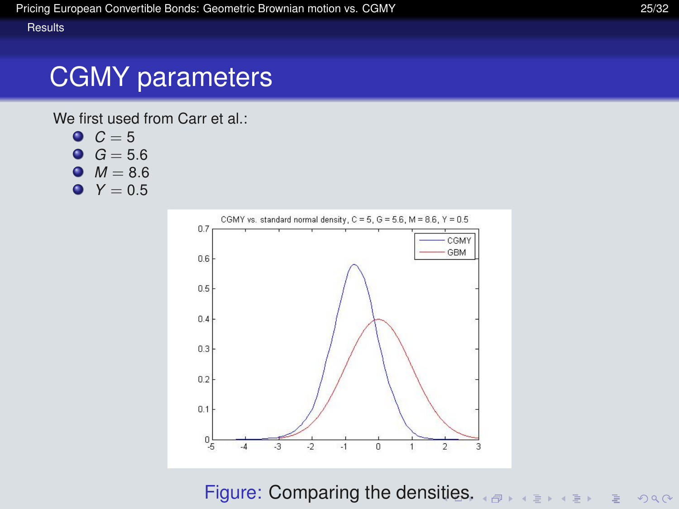# CGMY parameters

We first used from Carr et al.:

- $C = 5$
- $G = 5.6$
- $M = 8.6$
- $Y = 0.5$



<span id="page-34-0"></span>Figure: Comparing the dens[itie](#page-33-0)[s.](#page-35-0)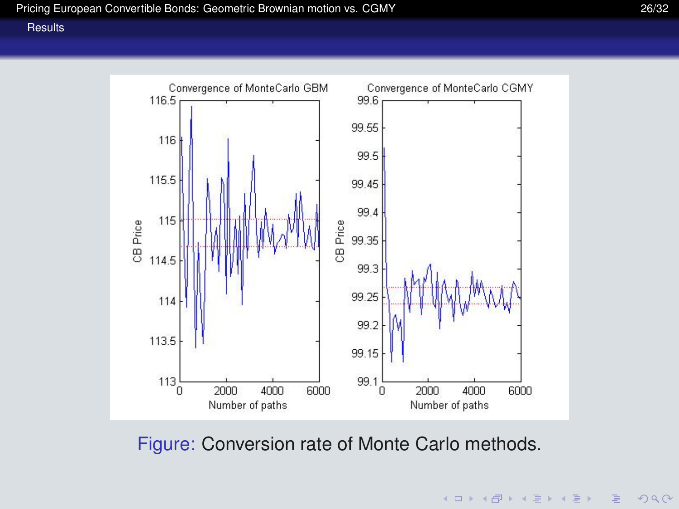

<span id="page-35-0"></span>Figure: Conversion rate of Monte Carlo methods.

 $\left\{ \begin{array}{ccc} 1 & 0 & 0 \\ 0 & 1 & 0 \end{array} \right.$  $2990$  $\equiv$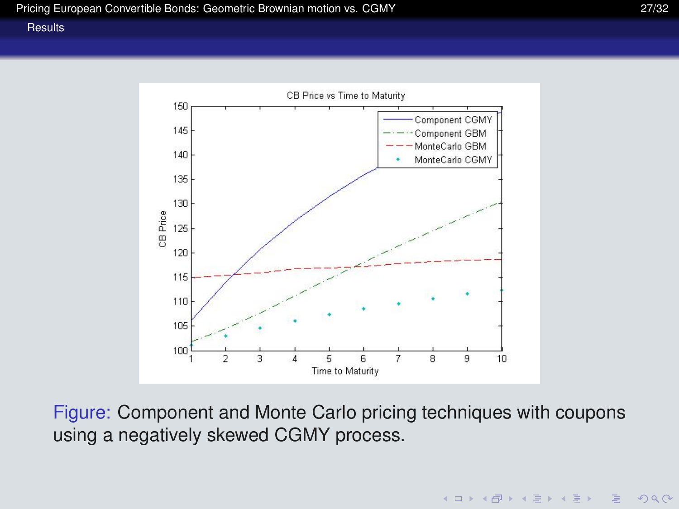**KOD KAD KED KED E VOOR** 

#### **[Results](#page-36-0)**



<span id="page-36-0"></span>Figure: Component and Monte Carlo pricing techniques with coupons using a negatively skewed CGMY process.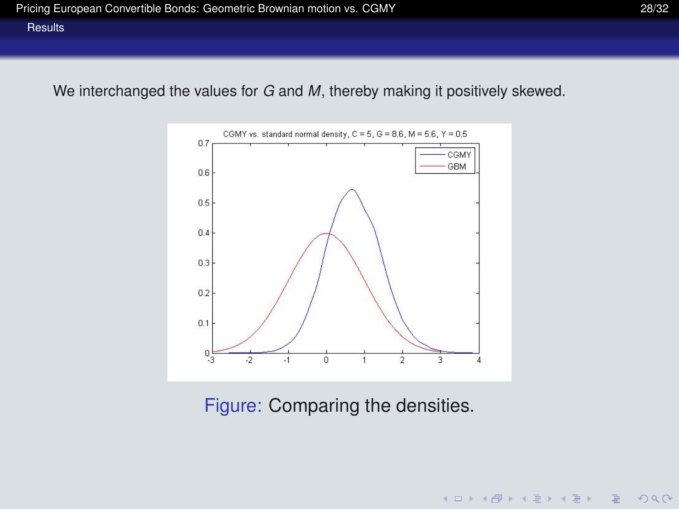We interchanged the values for *G* and *M*, thereby making it positively skewed.



<span id="page-37-0"></span>Figure: Comparing the densities.

K ロ ▶ K @ ▶ K 할 ▶ K 할 ▶ | 할 | © Q Q @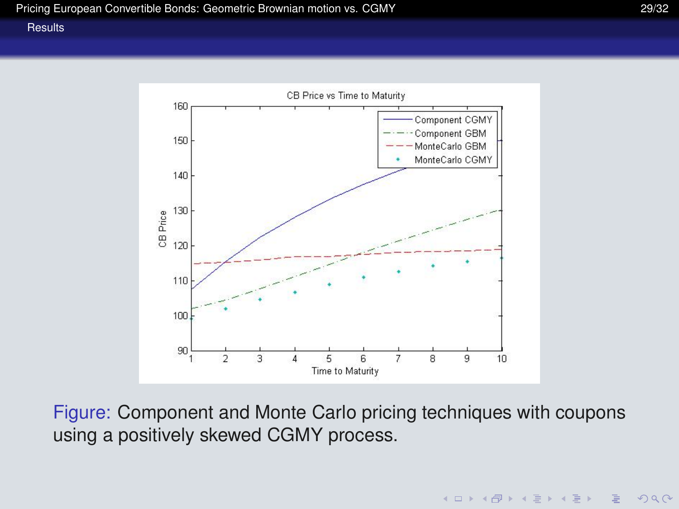

<span id="page-38-0"></span>Figure: Component and Monte Carlo pricing techniques with coupons using a positively skewed CGMY process.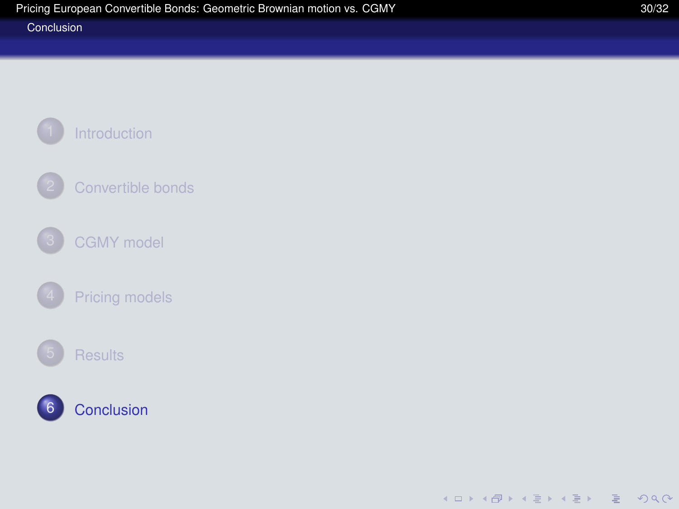#### [Conclusion](#page-39-0)

<span id="page-39-0"></span>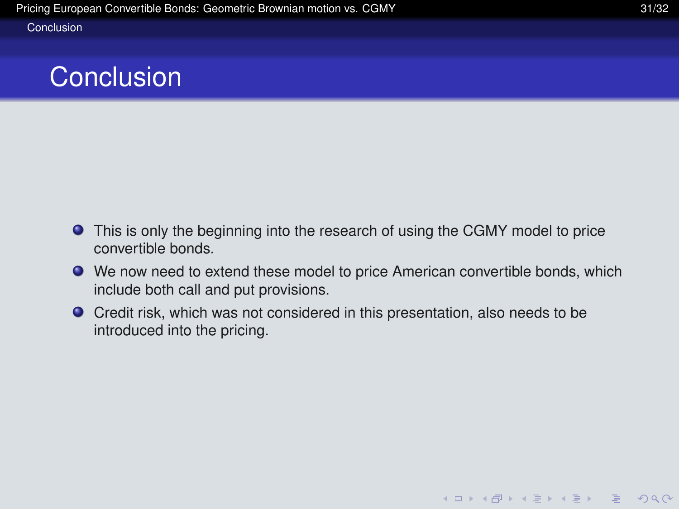#### **[Conclusion](#page-40-0)**

### **Conclusion**

- This is only the beginning into the research of using the CGMY model to price convertible bonds.
- We now need to extend these model to price American convertible bonds, which include both call and put provisions.
- <span id="page-40-0"></span>Credit risk, which was not considered in this presentation, also needs to be introduced into the pricing.